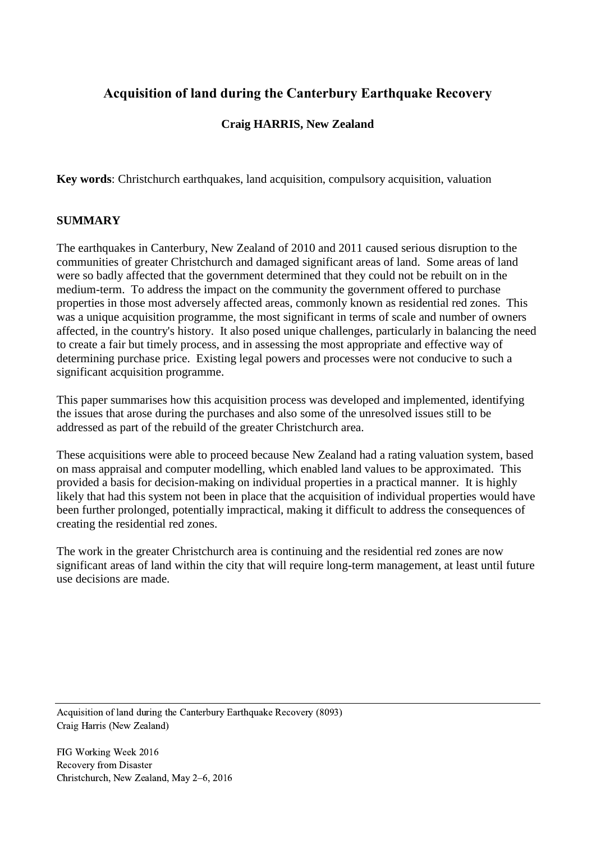# **Acquisition of land during the Canterbury Earthquake Recovery**

# **Craig HARRIS, New Zealand**

**Key words**: Christchurch earthquakes, land acquisition, compulsory acquisition, valuation

### **SUMMARY**

The earthquakes in Canterbury, New Zealand of 2010 and 2011 caused serious disruption to the communities of greater Christchurch and damaged significant areas of land. Some areas of land were so badly affected that the government determined that they could not be rebuilt on in the medium-term. To address the impact on the community the government offered to purchase properties in those most adversely affected areas, commonly known as residential red zones. This was a unique acquisition programme, the most significant in terms of scale and number of owners affected, in the country's history. It also posed unique challenges, particularly in balancing the need to create a fair but timely process, and in assessing the most appropriate and effective way of determining purchase price. Existing legal powers and processes were not conducive to such a significant acquisition programme.

This paper summarises how this acquisition process was developed and implemented, identifying the issues that arose during the purchases and also some of the unresolved issues still to be addressed as part of the rebuild of the greater Christchurch area.

These acquisitions were able to proceed because New Zealand had a rating valuation system, based on mass appraisal and computer modelling, which enabled land values to be approximated. This provided a basis for decision-making on individual properties in a practical manner. It is highly likely that had this system not been in place that the acquisition of individual properties would have been further prolonged, potentially impractical, making it difficult to address the consequences of creating the residential red zones.

The work in the greater Christchurch area is continuing and the residential red zones are now significant areas of land within the city that will require long-term management, at least until future use decisions are made.

Acquisition of land during the Canterbury Earthquake Recovery (8093) Craig Harris (New Zealand)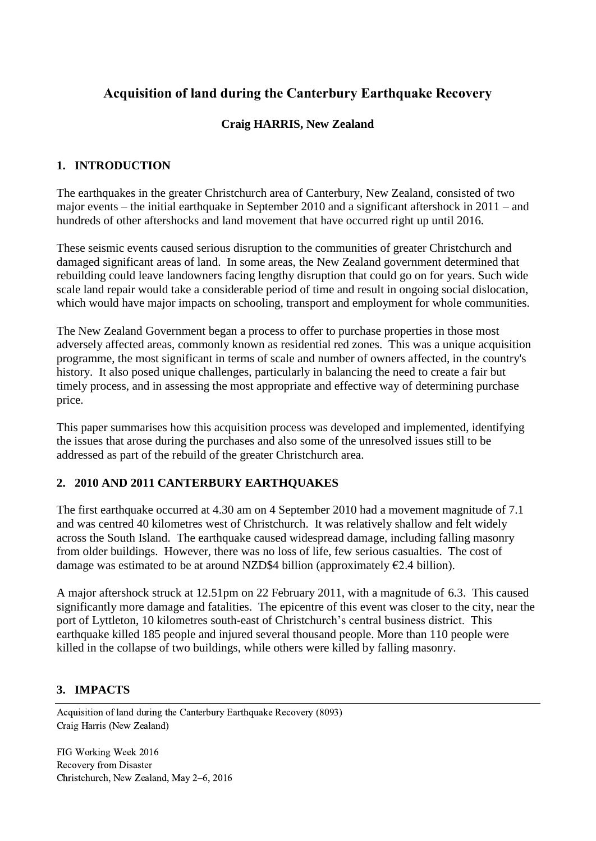# **Acquisition of land during the Canterbury Earthquake Recovery**

### **Craig HARRIS, New Zealand**

### **1. INTRODUCTION**

The earthquakes in the greater Christchurch area of Canterbury, New Zealand, consisted of two major events – the initial earthquake in September 2010 and a significant aftershock in 2011 – and hundreds of other aftershocks and land movement that have occurred right up until 2016.

These seismic events caused serious disruption to the communities of greater Christchurch and damaged significant areas of land. In some areas, the New Zealand government determined that rebuilding could leave landowners facing lengthy disruption that could go on for years. Such wide scale land repair would take a considerable period of time and result in ongoing social dislocation, which would have major impacts on schooling, transport and employment for whole communities.

The New Zealand Government began a process to offer to purchase properties in those most adversely affected areas, commonly known as residential red zones. This was a unique acquisition programme, the most significant in terms of scale and number of owners affected, in the country's history. It also posed unique challenges, particularly in balancing the need to create a fair but timely process, and in assessing the most appropriate and effective way of determining purchase price.

This paper summarises how this acquisition process was developed and implemented, identifying the issues that arose during the purchases and also some of the unresolved issues still to be addressed as part of the rebuild of the greater Christchurch area.

#### **2. 2010 AND 2011 CANTERBURY EARTHQUAKES**

The first earthquake occurred at 4.30 am on 4 September 2010 had a movement magnitude of 7.1 and was centred 40 kilometres west of Christchurch. It was relatively shallow and felt widely across the South Island. The earthquake caused widespread damage, including falling masonry from older buildings. However, there was no loss of life, few serious casualties. The cost of damage was estimated to be at around NZD\$4 billion (approximately  $E$ 2.4 billion).

A major aftershock struck at 12.51pm on 22 February 2011, with a magnitude of 6.3. This caused significantly more damage and fatalities. The epicentre of this event was closer to the city, near the port of Lyttleton, 10 kilometres south-east of Christchurch's central business district. This earthquake killed 185 people and injured several thousand people. More than 110 people were killed in the collapse of two buildings, while others were killed by falling masonry.

#### **3. IMPACTS**

Acquisition of land during the Canterbury Earthquake Recovery (8093) Craig Harris (New Zealand)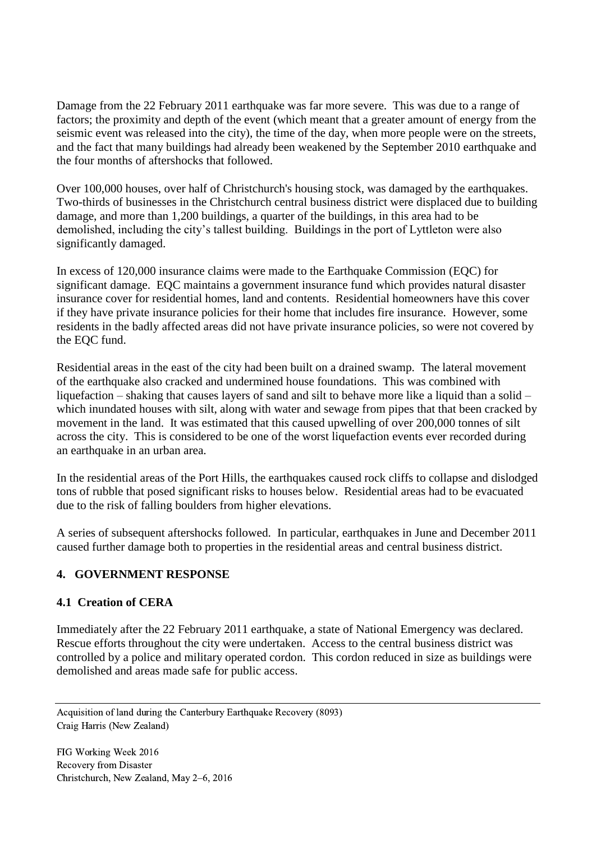Damage from the 22 February 2011 earthquake was far more severe. This was due to a range of factors; the proximity and depth of the event (which meant that a greater amount of energy from the seismic event was released into the city), the time of the day, when more people were on the streets, and the fact that many buildings had already been weakened by the September 2010 earthquake and the four months of aftershocks that followed.

Over 100,000 houses, over half of Christchurch's housing stock, was damaged by the earthquakes. Two-thirds of businesses in the Christchurch central business district were displaced due to building damage, and more than 1,200 buildings, a quarter of the buildings, in this area had to be demolished, including the city's tallest building. Buildings in the port of Lyttleton were also significantly damaged.

In excess of 120,000 insurance claims were made to the Earthquake Commission (EQC) for significant damage. EQC maintains a government insurance fund which provides natural disaster insurance cover for residential homes, land and contents. Residential homeowners have this cover if they have private insurance policies for their home that includes fire insurance. However, some residents in the badly affected areas did not have private insurance policies, so were not covered by the EQC fund.

Residential areas in the east of the city had been built on a drained swamp. The lateral movement of the earthquake also cracked and undermined house foundations. This was combined with liquefaction – shaking that causes layers of sand and silt to behave more like a liquid than a solid – which inundated houses with silt, along with water and sewage from pipes that that been cracked by movement in the land. It was estimated that this caused upwelling of over 200,000 tonnes of silt across the city. This is considered to be one of the worst liquefaction events ever recorded during an earthquake in an urban area.

In the residential areas of the Port Hills, the earthquakes caused rock cliffs to collapse and dislodged tons of rubble that posed significant risks to houses below. Residential areas had to be evacuated due to the risk of falling boulders from higher elevations.

A series of subsequent aftershocks followed. In particular, earthquakes in June and December 2011 caused further damage both to properties in the residential areas and central business district.

# **4. GOVERNMENT RESPONSE**

#### **4.1 Creation of CERA**

Immediately after the 22 February 2011 earthquake, a state of National Emergency was declared. Rescue efforts throughout the city were undertaken. Access to the central business district was controlled by a police and military operated cordon. This cordon reduced in size as buildings were demolished and areas made safe for public access.

Acquisition of land during the Canterbury Earthquake Recovery (8093) Craig Harris (New Zealand)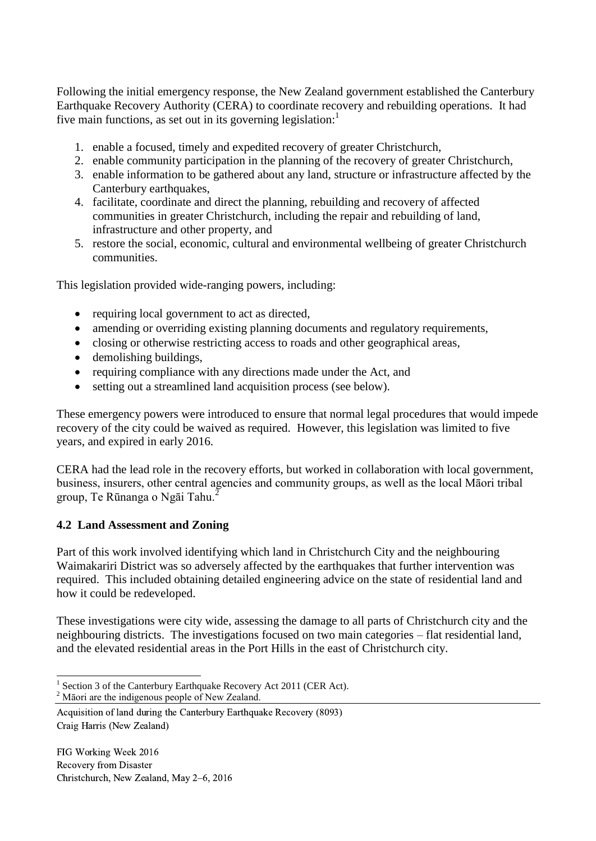Following the initial emergency response, the New Zealand government established the Canterbury Earthquake Recovery Authority (CERA) to coordinate recovery and rebuilding operations. It had five main functions, as set out in its governing legislation: $<sup>1</sup>$ </sup>

- 1. enable a focused, timely and expedited recovery of greater Christchurch,
- 2. enable community participation in the planning of the recovery of greater Christchurch,
- 3. enable information to be gathered about any land, structure or infrastructure affected by the Canterbury earthquakes,
- 4. facilitate, coordinate and direct the planning, rebuilding and recovery of affected communities in greater Christchurch, including the repair and rebuilding of land, infrastructure and other property, and
- 5. restore the social, economic, cultural and environmental wellbeing of greater Christchurch communities.

This legislation provided wide-ranging powers, including:

- requiring local government to act as directed,
- amending or overriding existing planning documents and regulatory requirements,
- closing or otherwise restricting access to roads and other geographical areas,
- demolishing buildings,
- requiring compliance with any directions made under the Act, and
- setting out a streamlined land acquisition process (see below).

These emergency powers were introduced to ensure that normal legal procedures that would impede recovery of the city could be waived as required. However, this legislation was limited to five years, and expired in early 2016.

CERA had the lead role in the recovery efforts, but worked in collaboration with local government, business, insurers, other central agencies and community groups, as well as the local Māori tribal group, Te Rūnanga o Ngāi Tahu.<sup>2</sup>

#### **4.2 Land Assessment and Zoning**

Part of this work involved identifying which land in Christchurch City and the neighbouring Waimakariri District was so adversely affected by the earthquakes that further intervention was required. This included obtaining detailed engineering advice on the state of residential land and how it could be redeveloped.

These investigations were city wide, assessing the damage to all parts of Christchurch city and the neighbouring districts. The investigations focused on two main categories – flat residential land, and the elevated residential areas in the Port Hills in the east of Christchurch city.

<sup>2</sup> Māori are the indigenous people of New Zealand.

 $\overline{a}$ 

<sup>1</sup> Section 3 of the Canterbury Earthquake Recovery Act 2011 (CER Act).

Acquisition of land during the Canterbury Earthquake Recovery (8093) Craig Harris (New Zealand)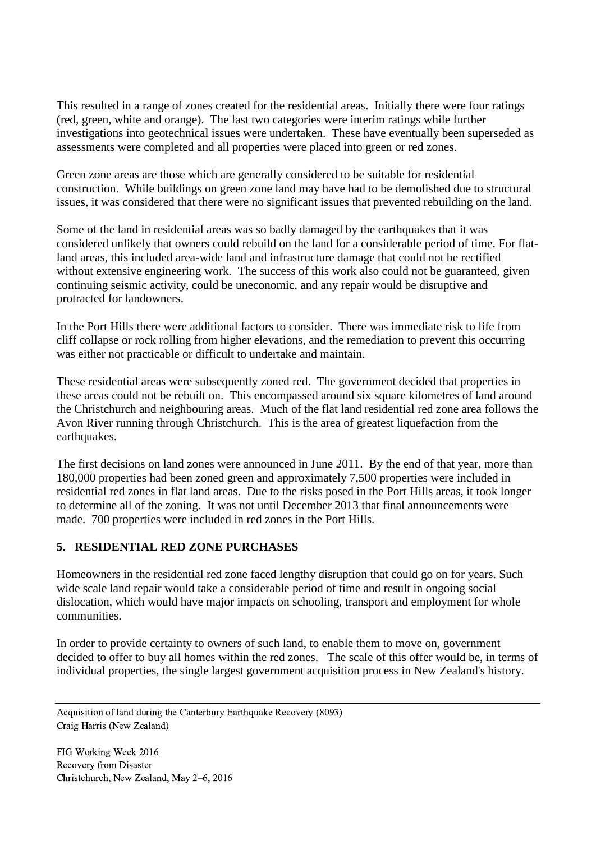This resulted in a range of zones created for the residential areas. Initially there were four ratings (red, green, white and orange). The last two categories were interim ratings while further investigations into geotechnical issues were undertaken. These have eventually been superseded as assessments were completed and all properties were placed into green or red zones.

Green zone areas are those which are generally considered to be suitable for residential construction. While buildings on green zone land may have had to be demolished due to structural issues, it was considered that there were no significant issues that prevented rebuilding on the land.

Some of the land in residential areas was so badly damaged by the earthquakes that it was considered unlikely that owners could rebuild on the land for a considerable period of time. For flatland areas, this included area-wide land and infrastructure damage that could not be rectified without extensive engineering work. The success of this work also could not be guaranteed, given continuing seismic activity, could be uneconomic, and any repair would be disruptive and protracted for landowners.

In the Port Hills there were additional factors to consider. There was immediate risk to life from cliff collapse or rock rolling from higher elevations, and the remediation to prevent this occurring was either not practicable or difficult to undertake and maintain.

These residential areas were subsequently zoned red. The government decided that properties in these areas could not be rebuilt on. This encompassed around six square kilometres of land around the Christchurch and neighbouring areas. Much of the flat land residential red zone area follows the Avon River running through Christchurch. This is the area of greatest liquefaction from the earthquakes.

The first decisions on land zones were announced in June 2011. By the end of that year, more than 180,000 properties had been zoned green and approximately 7,500 properties were included in residential red zones in flat land areas. Due to the risks posed in the Port Hills areas, it took longer to determine all of the zoning. It was not until December 2013 that final announcements were made. 700 properties were included in red zones in the Port Hills.

#### **5. RESIDENTIAL RED ZONE PURCHASES**

Homeowners in the residential red zone faced lengthy disruption that could go on for years. Such wide scale land repair would take a considerable period of time and result in ongoing social dislocation, which would have major impacts on schooling, transport and employment for whole communities.

In order to provide certainty to owners of such land, to enable them to move on, government decided to offer to buy all homes within the red zones. The scale of this offer would be, in terms of individual properties, the single largest government acquisition process in New Zealand's history.

Acquisition of land during the Canterbury Earthquake Recovery (8093) Craig Harris (New Zealand)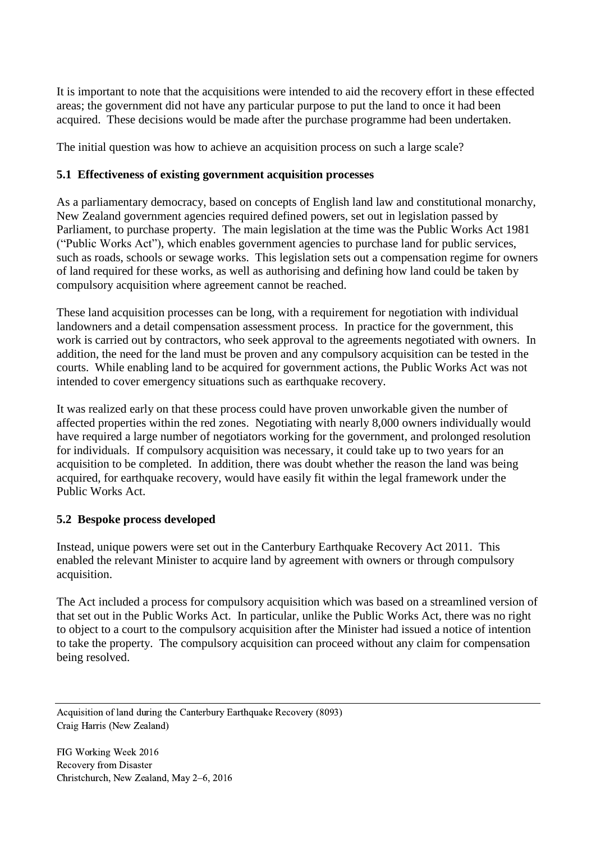It is important to note that the acquisitions were intended to aid the recovery effort in these effected areas; the government did not have any particular purpose to put the land to once it had been acquired. These decisions would be made after the purchase programme had been undertaken.

The initial question was how to achieve an acquisition process on such a large scale?

#### **5.1 Effectiveness of existing government acquisition processes**

As a parliamentary democracy, based on concepts of English land law and constitutional monarchy, New Zealand government agencies required defined powers, set out in legislation passed by Parliament, to purchase property. The main legislation at the time was the Public Works Act 1981 ("Public Works Act"), which enables government agencies to purchase land for public services, such as roads, schools or sewage works. This legislation sets out a compensation regime for owners of land required for these works, as well as authorising and defining how land could be taken by compulsory acquisition where agreement cannot be reached.

These land acquisition processes can be long, with a requirement for negotiation with individual landowners and a detail compensation assessment process. In practice for the government, this work is carried out by contractors, who seek approval to the agreements negotiated with owners. In addition, the need for the land must be proven and any compulsory acquisition can be tested in the courts. While enabling land to be acquired for government actions, the Public Works Act was not intended to cover emergency situations such as earthquake recovery.

It was realized early on that these process could have proven unworkable given the number of affected properties within the red zones. Negotiating with nearly 8,000 owners individually would have required a large number of negotiators working for the government, and prolonged resolution for individuals. If compulsory acquisition was necessary, it could take up to two years for an acquisition to be completed. In addition, there was doubt whether the reason the land was being acquired, for earthquake recovery, would have easily fit within the legal framework under the Public Works Act.

# **5.2 Bespoke process developed**

Instead, unique powers were set out in the Canterbury Earthquake Recovery Act 2011. This enabled the relevant Minister to acquire land by agreement with owners or through compulsory acquisition.

The Act included a process for compulsory acquisition which was based on a streamlined version of that set out in the Public Works Act. In particular, unlike the Public Works Act, there was no right to object to a court to the compulsory acquisition after the Minister had issued a notice of intention to take the property. The compulsory acquisition can proceed without any claim for compensation being resolved.

Acquisition of land during the Canterbury Earthquake Recovery (8093) Craig Harris (New Zealand)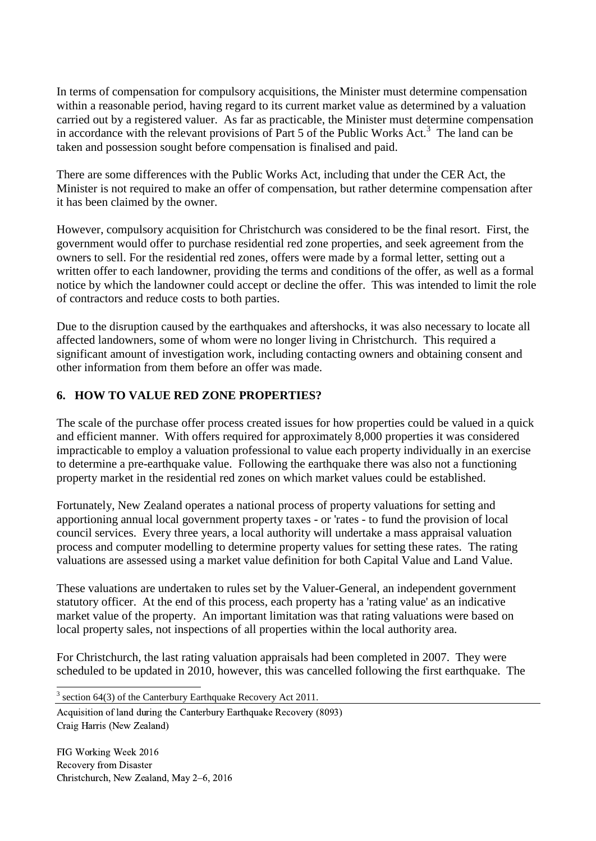In terms of compensation for compulsory acquisitions, the Minister must determine compensation within a reasonable period, having regard to its current market value as determined by a valuation carried out by a registered valuer. As far as practicable, the Minister must determine compensation in accordance with the relevant provisions of Part 5 of the Public Works Act.<sup>3</sup> The land can be taken and possession sought before compensation is finalised and paid.

There are some differences with the Public Works Act, including that under the CER Act, the Minister is not required to make an offer of compensation, but rather determine compensation after it has been claimed by the owner.

However, compulsory acquisition for Christchurch was considered to be the final resort. First, the government would offer to purchase residential red zone properties, and seek agreement from the owners to sell. For the residential red zones, offers were made by a formal letter, setting out a written offer to each landowner, providing the terms and conditions of the offer, as well as a formal notice by which the landowner could accept or decline the offer. This was intended to limit the role of contractors and reduce costs to both parties.

Due to the disruption caused by the earthquakes and aftershocks, it was also necessary to locate all affected landowners, some of whom were no longer living in Christchurch. This required a significant amount of investigation work, including contacting owners and obtaining consent and other information from them before an offer was made.

# **6. HOW TO VALUE RED ZONE PROPERTIES?**

The scale of the purchase offer process created issues for how properties could be valued in a quick and efficient manner. With offers required for approximately 8,000 properties it was considered impracticable to employ a valuation professional to value each property individually in an exercise to determine a pre-earthquake value. Following the earthquake there was also not a functioning property market in the residential red zones on which market values could be established.

Fortunately, New Zealand operates a national process of property valuations for setting and apportioning annual local government property taxes - or 'rates - to fund the provision of local council services. Every three years, a local authority will undertake a mass appraisal valuation process and computer modelling to determine property values for setting these rates. The rating valuations are assessed using a market value definition for both Capital Value and Land Value.

These valuations are undertaken to rules set by the Valuer-General, an independent government statutory officer. At the end of this process, each property has a 'rating value' as an indicative market value of the property. An important limitation was that rating valuations were based on local property sales, not inspections of all properties within the local authority area.

For Christchurch, the last rating valuation appraisals had been completed in 2007. They were scheduled to be updated in 2010, however, this was cancelled following the first earthquake. The

Acquisition of land during the Canterbury Earthquake Recovery (8093) Craig Harris (New Zealand)

FIG Working Week 2016 Recovery from Disaster Christchurch, New Zealand, May 2–6, 2016

-

 $3$  section 64(3) of the Canterbury Earthquake Recovery Act 2011.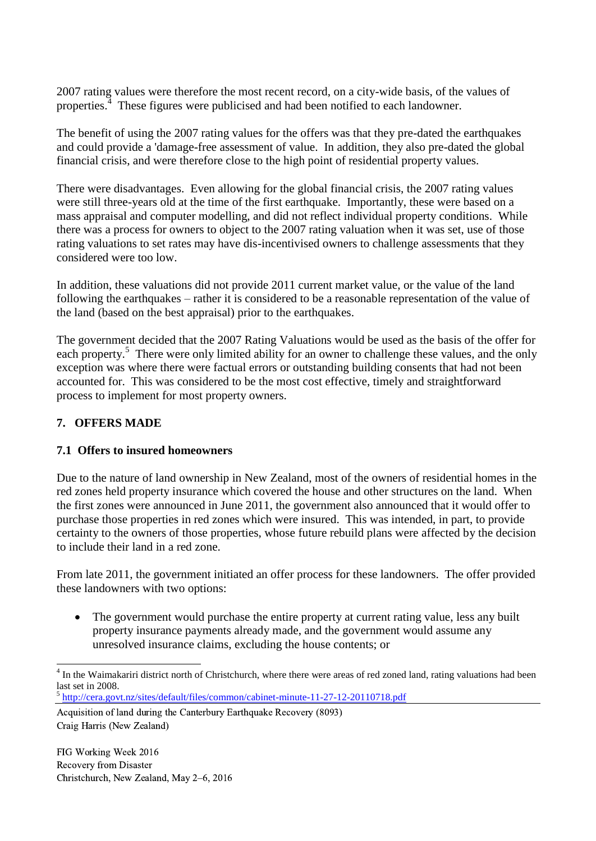2007 rating values were therefore the most recent record, on a city-wide basis, of the values of properties.<sup>4</sup> These figures were publicised and had been notified to each landowner.

The benefit of using the 2007 rating values for the offers was that they pre-dated the earthquakes and could provide a 'damage-free assessment of value. In addition, they also pre-dated the global financial crisis, and were therefore close to the high point of residential property values.

There were disadvantages. Even allowing for the global financial crisis, the 2007 rating values were still three-years old at the time of the first earthquake. Importantly, these were based on a mass appraisal and computer modelling, and did not reflect individual property conditions. While there was a process for owners to object to the 2007 rating valuation when it was set, use of those rating valuations to set rates may have dis-incentivised owners to challenge assessments that they considered were too low.

In addition, these valuations did not provide 2011 current market value, or the value of the land following the earthquakes – rather it is considered to be a reasonable representation of the value of the land (based on the best appraisal) prior to the earthquakes.

The government decided that the 2007 Rating Valuations would be used as the basis of the offer for each property.<sup>5</sup> There were only limited ability for an owner to challenge these values, and the only exception was where there were factual errors or outstanding building consents that had not been accounted for. This was considered to be the most cost effective, timely and straightforward process to implement for most property owners.

# **7. OFFERS MADE**

#### **7.1 Offers to insured homeowners**

Due to the nature of land ownership in New Zealand, most of the owners of residential homes in the red zones held property insurance which covered the house and other structures on the land. When the first zones were announced in June 2011, the government also announced that it would offer to purchase those properties in red zones which were insured. This was intended, in part, to provide certainty to the owners of those properties, whose future rebuild plans were affected by the decision to include their land in a red zone.

From late 2011, the government initiated an offer process for these landowners. The offer provided these landowners with two options:

• The government would purchase the entire property at current rating value, less any built property insurance payments already made, and the government would assume any unresolved insurance claims, excluding the house contents; or

<sup>5</sup> <http://cera.govt.nz/sites/default/files/common/cabinet-minute-11-27-12-20110718.pdf>

Acquisition of land during the Canterbury Earthquake Recovery (8093) Craig Harris (New Zealand)

<sup>&</sup>lt;sup>4</sup> In the Waimakariri district north of Christchurch, where there were areas of red zoned land, rating valuations had been last set in 2008.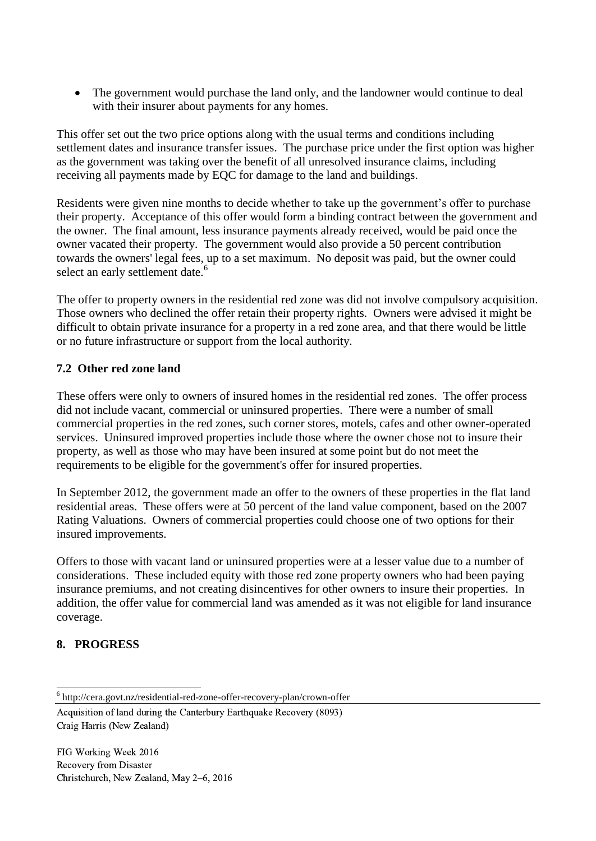• The government would purchase the land only, and the landowner would continue to deal with their insurer about payments for any homes.

This offer set out the two price options along with the usual terms and conditions including settlement dates and insurance transfer issues. The purchase price under the first option was higher as the government was taking over the benefit of all unresolved insurance claims, including receiving all payments made by EQC for damage to the land and buildings.

Residents were given nine months to decide whether to take up the government's offer to purchase their property. Acceptance of this offer would form a binding contract between the government and the owner. The final amount, less insurance payments already received, would be paid once the owner vacated their property. The government would also provide a 50 percent contribution towards the owners' legal fees, up to a set maximum. No deposit was paid, but the owner could select an early settlement date.<sup>6</sup>

The offer to property owners in the residential red zone was did not involve compulsory acquisition. Those owners who declined the offer retain their property rights. Owners were advised it might be difficult to obtain private insurance for a property in a red zone area, and that there would be little or no future infrastructure or support from the local authority.

### **7.2 Other red zone land**

These offers were only to owners of insured homes in the residential red zones. The offer process did not include vacant, commercial or uninsured properties. There were a number of small commercial properties in the red zones, such corner stores, motels, cafes and other owner-operated services. Uninsured improved properties include those where the owner chose not to insure their property, as well as those who may have been insured at some point but do not meet the requirements to be eligible for the government's offer for insured properties.

In September 2012, the government made an offer to the owners of these properties in the flat land residential areas. These offers were at 50 percent of the land value component, based on the 2007 Rating Valuations. Owners of commercial properties could choose one of two options for their insured improvements.

Offers to those with vacant land or uninsured properties were at a lesser value due to a number of considerations. These included equity with those red zone property owners who had been paying insurance premiums, and not creating disincentives for other owners to insure their properties. In addition, the offer value for commercial land was amended as it was not eligible for land insurance coverage.

# **8. PROGRESS**

-

<sup>6</sup> http://cera.govt.nz/residential-red-zone-offer-recovery-plan/crown-offer

Acquisition of land during the Canterbury Earthquake Recovery (8093) Craig Harris (New Zealand)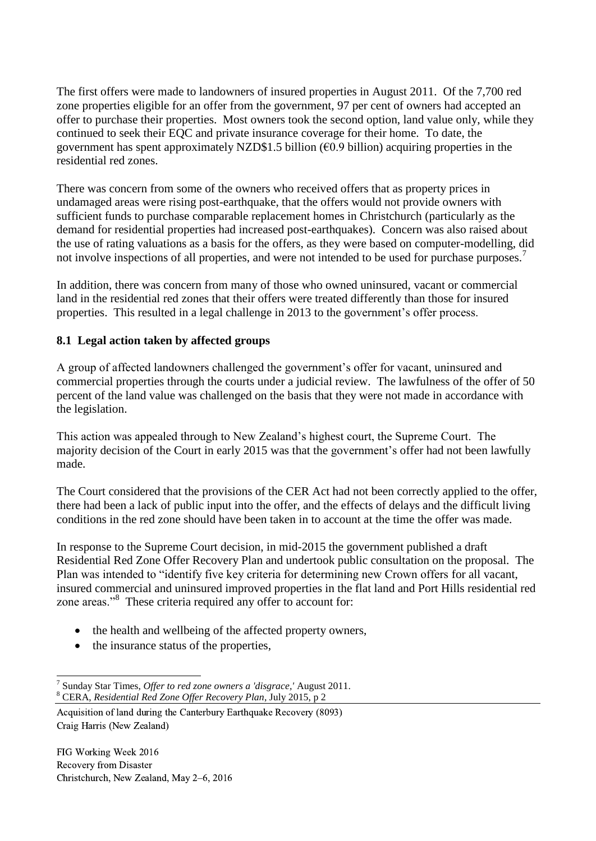The first offers were made to landowners of insured properties in August 2011. Of the 7,700 red zone properties eligible for an offer from the government, 97 per cent of owners had accepted an offer to purchase their properties. Most owners took the second option, land value only, while they continued to seek their EQC and private insurance coverage for their home. To date, the government has spent approximately NZD\$1.5 billion ( $\epsilon$ 0.9 billion) acquiring properties in the residential red zones.

There was concern from some of the owners who received offers that as property prices in undamaged areas were rising post-earthquake, that the offers would not provide owners with sufficient funds to purchase comparable replacement homes in Christchurch (particularly as the demand for residential properties had increased post-earthquakes). Concern was also raised about the use of rating valuations as a basis for the offers, as they were based on computer-modelling, did not involve inspections of all properties, and were not intended to be used for purchase purposes.<sup>7</sup>

In addition, there was concern from many of those who owned uninsured, vacant or commercial land in the residential red zones that their offers were treated differently than those for insured properties. This resulted in a legal challenge in 2013 to the government's offer process.

### **8.1 Legal action taken by affected groups**

A group of affected landowners challenged the government's offer for vacant, uninsured and commercial properties through the courts under a judicial review. The lawfulness of the offer of 50 percent of the land value was challenged on the basis that they were not made in accordance with the legislation.

This action was appealed through to New Zealand's highest court, the Supreme Court. The majority decision of the Court in early 2015 was that the government's offer had not been lawfully made.

The Court considered that the provisions of the CER Act had not been correctly applied to the offer, there had been a lack of public input into the offer, and the effects of delays and the difficult living conditions in the red zone should have been taken in to account at the time the offer was made.

In response to the Supreme Court decision, in mid-2015 the government published a draft Residential Red Zone Offer Recovery Plan and undertook public consultation on the proposal. The Plan was intended to "identify five key criteria for determining new Crown offers for all vacant, insured commercial and uninsured improved properties in the flat land and Port Hills residential red zone areas."<sup>8</sup> These criteria required any offer to account for:

- the health and wellbeing of the affected property owners,
- the insurance status of the properties,

 $\overline{a}$ 7 Sunday Star Times, *Offer to red zone owners a 'disgrace,'* August 2011. <sup>8</sup> CERA, *Residential Red Zone Offer Recovery Plan*, July 2015, p 2

Acquisition of land during the Canterbury Earthquake Recovery (8093) Craig Harris (New Zealand)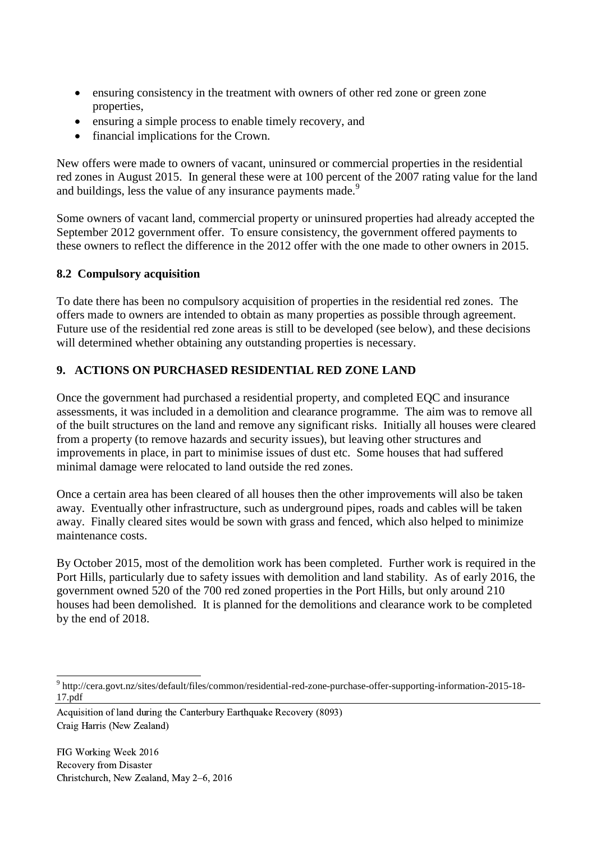- ensuring consistency in the treatment with owners of other red zone or green zone properties,
- ensuring a simple process to enable timely recovery, and
- financial implications for the Crown.

New offers were made to owners of vacant, uninsured or commercial properties in the residential red zones in August 2015. In general these were at 100 percent of the 2007 rating value for the land and buildings, less the value of any insurance payments made.<sup>9</sup>

Some owners of vacant land, commercial property or uninsured properties had already accepted the September 2012 government offer. To ensure consistency, the government offered payments to these owners to reflect the difference in the 2012 offer with the one made to other owners in 2015.

# **8.2 Compulsory acquisition**

To date there has been no compulsory acquisition of properties in the residential red zones. The offers made to owners are intended to obtain as many properties as possible through agreement. Future use of the residential red zone areas is still to be developed (see below), and these decisions will determined whether obtaining any outstanding properties is necessary.

# **9. ACTIONS ON PURCHASED RESIDENTIAL RED ZONE LAND**

Once the government had purchased a residential property, and completed EQC and insurance assessments, it was included in a demolition and clearance programme. The aim was to remove all of the built structures on the land and remove any significant risks. Initially all houses were cleared from a property (to remove hazards and security issues), but leaving other structures and improvements in place, in part to minimise issues of dust etc. Some houses that had suffered minimal damage were relocated to land outside the red zones.

Once a certain area has been cleared of all houses then the other improvements will also be taken away. Eventually other infrastructure, such as underground pipes, roads and cables will be taken away. Finally cleared sites would be sown with grass and fenced, which also helped to minimize maintenance costs.

By October 2015, most of the demolition work has been completed. Further work is required in the Port Hills, particularly due to safety issues with demolition and land stability. As of early 2016, the government owned 520 of the 700 red zoned properties in the Port Hills, but only around 210 houses had been demolished. It is planned for the demolitions and clearance work to be completed by the end of 2018.

Acquisition of land during the Canterbury Earthquake Recovery (8093) Craig Harris (New Zealand)

 $\overline{a}$ 9 http://cera.govt.nz/sites/default/files/common/residential-red-zone-purchase-offer-supporting-information-2015-18- 17.pdf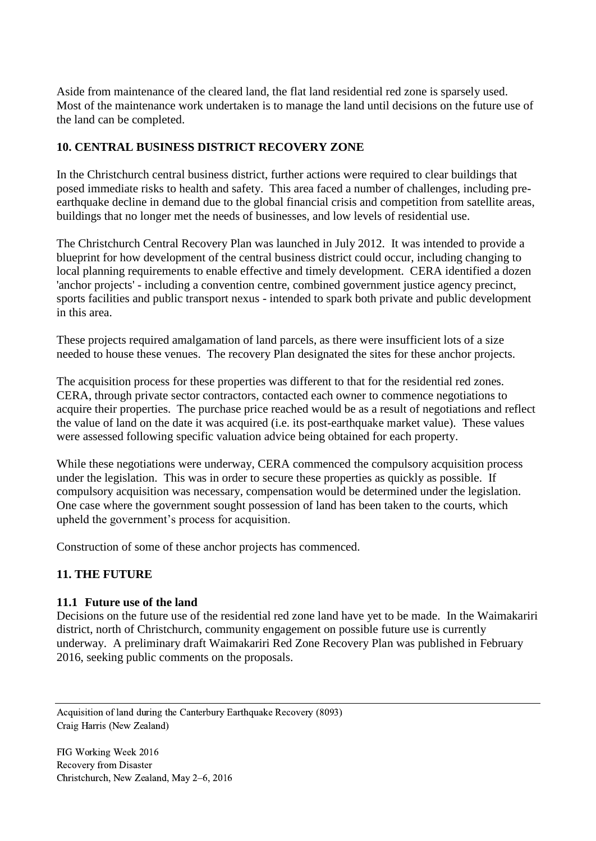Aside from maintenance of the cleared land, the flat land residential red zone is sparsely used. Most of the maintenance work undertaken is to manage the land until decisions on the future use of the land can be completed.

#### **10. CENTRAL BUSINESS DISTRICT RECOVERY ZONE**

In the Christchurch central business district, further actions were required to clear buildings that posed immediate risks to health and safety. This area faced a number of challenges, including preearthquake decline in demand due to the global financial crisis and competition from satellite areas, buildings that no longer met the needs of businesses, and low levels of residential use.

The Christchurch Central Recovery Plan was launched in July 2012. It was intended to provide a blueprint for how development of the central business district could occur, including changing to local planning requirements to enable effective and timely development. CERA identified a dozen 'anchor projects' - including a convention centre, combined government justice agency precinct, sports facilities and public transport nexus - intended to spark both private and public development in this area.

These projects required amalgamation of land parcels, as there were insufficient lots of a size needed to house these venues. The recovery Plan designated the sites for these anchor projects.

The acquisition process for these properties was different to that for the residential red zones. CERA, through private sector contractors, contacted each owner to commence negotiations to acquire their properties. The purchase price reached would be as a result of negotiations and reflect the value of land on the date it was acquired (i.e. its post-earthquake market value). These values were assessed following specific valuation advice being obtained for each property.

While these negotiations were underway, CERA commenced the compulsory acquisition process under the legislation. This was in order to secure these properties as quickly as possible. If compulsory acquisition was necessary, compensation would be determined under the legislation. One case where the government sought possession of land has been taken to the courts, which upheld the government's process for acquisition.

Construction of some of these anchor projects has commenced.

#### **11. THE FUTURE**

#### **11.1 Future use of the land**

Decisions on the future use of the residential red zone land have yet to be made. In the Waimakariri district, north of Christchurch, community engagement on possible future use is currently underway. A preliminary draft Waimakariri Red Zone Recovery Plan was published in February 2016, seeking public comments on the proposals.

Acquisition of land during the Canterbury Earthquake Recovery (8093) Craig Harris (New Zealand)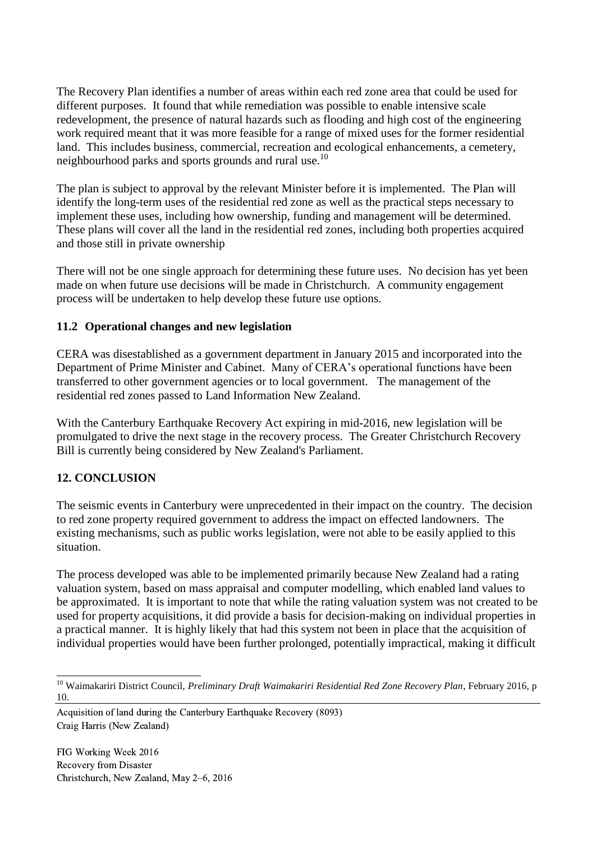The Recovery Plan identifies a number of areas within each red zone area that could be used for different purposes. It found that while remediation was possible to enable intensive scale redevelopment, the presence of natural hazards such as flooding and high cost of the engineering work required meant that it was more feasible for a range of mixed uses for the former residential land. This includes business, commercial, recreation and ecological enhancements, a cemetery, neighbourhood parks and sports grounds and rural use.<sup>10</sup>

The plan is subject to approval by the relevant Minister before it is implemented. The Plan will identify the long-term uses of the residential red zone as well as the practical steps necessary to implement these uses, including how ownership, funding and management will be determined. These plans will cover all the land in the residential red zones, including both properties acquired and those still in private ownership

There will not be one single approach for determining these future uses. No decision has yet been made on when future use decisions will be made in Christchurch. A community engagement process will be undertaken to help develop these future use options.

### **11.2 Operational changes and new legislation**

CERA was disestablished as a government department in January 2015 and incorporated into the Department of Prime Minister and Cabinet. Many of CERA's operational functions have been transferred to other government agencies or to local government. The management of the residential red zones passed to Land Information New Zealand.

With the Canterbury Earthquake Recovery Act expiring in mid-2016, new legislation will be promulgated to drive the next stage in the recovery process. The Greater Christchurch Recovery Bill is currently being considered by New Zealand's Parliament.

# **12. CONCLUSION**

The seismic events in Canterbury were unprecedented in their impact on the country. The decision to red zone property required government to address the impact on effected landowners. The existing mechanisms, such as public works legislation, were not able to be easily applied to this situation.

The process developed was able to be implemented primarily because New Zealand had a rating valuation system, based on mass appraisal and computer modelling, which enabled land values to be approximated. It is important to note that while the rating valuation system was not created to be used for property acquisitions, it did provide a basis for decision-making on individual properties in a practical manner. It is highly likely that had this system not been in place that the acquisition of individual properties would have been further prolonged, potentially impractical, making it difficult

 $\overline{a}$ <sup>10</sup> Waimakariri District Council, *Preliminary Draft Waimakariri Residential Red Zone Recovery Plan*, February 2016, p 10.

Acquisition of land during the Canterbury Earthquake Recovery (8093) Craig Harris (New Zealand)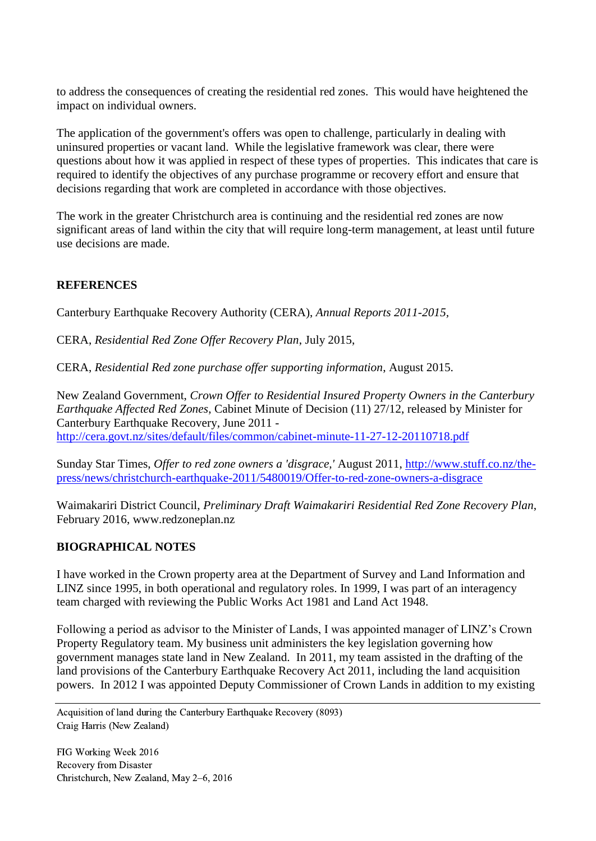to address the consequences of creating the residential red zones. This would have heightened the impact on individual owners.

The application of the government's offers was open to challenge, particularly in dealing with uninsured properties or vacant land. While the legislative framework was clear, there were questions about how it was applied in respect of these types of properties. This indicates that care is required to identify the objectives of any purchase programme or recovery effort and ensure that decisions regarding that work are completed in accordance with those objectives.

The work in the greater Christchurch area is continuing and the residential red zones are now significant areas of land within the city that will require long-term management, at least until future use decisions are made.

### **REFERENCES**

Canterbury Earthquake Recovery Authority (CERA), *Annual Reports 2011-2015,*

CERA, *Residential Red Zone Offer Recovery Plan*, July 2015,

CERA, *Residential Red zone purchase offer supporting information*, August 2015.

New Zealand Government, *Crown Offer to Residential Insured Property Owners in the Canterbury Earthquake Affected Red Zones*, Cabinet Minute of Decision (11) 27/12, released by Minister for Canterbury Earthquake Recovery, June 2011 <http://cera.govt.nz/sites/default/files/common/cabinet-minute-11-27-12-20110718.pdf>

Sunday Star Times, *Offer to red zone owners a 'disgrace,'* August 2011, http://www.stuff.co.nz/thepress/news/christchurch-earthquake-2011/5480019/Offer-to-red-zone-owners-a-disgrace

Waimakariri District Council, *Preliminary Draft Waimakariri Residential Red Zone Recovery Plan*, February 2016, www.redzoneplan.nz

#### **BIOGRAPHICAL NOTES**

I have worked in the Crown property area at the Department of Survey and Land Information and LINZ since 1995, in both operational and regulatory roles. In 1999, I was part of an interagency team charged with reviewing the Public Works Act 1981 and Land Act 1948.

Following a period as advisor to the Minister of Lands, I was appointed manager of LINZ's Crown Property Regulatory team. My business unit administers the key legislation governing how government manages state land in New Zealand. In 2011, my team assisted in the drafting of the land provisions of the Canterbury Earthquake Recovery Act 2011, including the land acquisition powers. In 2012 I was appointed Deputy Commissioner of Crown Lands in addition to my existing

Acquisition of land during the Canterbury Earthquake Recovery (8093) Craig Harris (New Zealand)